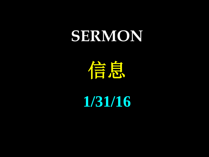## **SERMON**

信息

**1/31/16**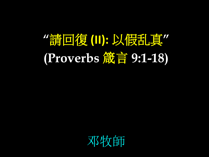## **"**請回復 **(II):** 以假乱真**" (Proverbs** 箴言 **9:1-18)**

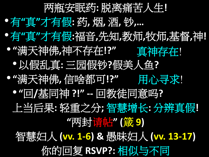## 两瓶安眠药**:** 脱离痛苦人生**!** •有**"**真**"**才有假**:** 药**,** 烟**,** 酒**,** 钞**,…** •有**"**真**"**才有假**:**福音**,**先知**,**教师**,**牧师**,**基督**,**神**!** • **"**满天神佛**,**神不存在**!?"** •以假乱真**:** 三园假钞**?**假美人鱼**?**  • **"**满天神佛**,** 信啥都可**!?"** 用心寻求!• **"**回**/**基同神 **?!" --** 回教徒同意吗**?** 上当后果**:** 轻重之分**;** 智慧增长**:** 分辨真假**! "**两封请帖**" (**箴 **9)** 智慧妇人 **(vv. 1-6) &** 愚昧妇人 **(vv. 13-17)** 你的回复 **RSVP?:** 相似与不同 真神存在!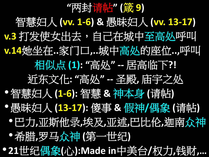**"**两封请帖**" (**箴 **9)** 智慧妇人 **(vv. 1-6) &** 愚昧妇人 **(vv. 13-17)** <u>v.3</u> 打发使女出去,自己在城中至高处呼叫 **v.14**她坐在**..**家门口**,..**城中高处的座位**..,**呼叫 相似点 **(1): "**高处**" --** 居高临下**?!** 近东文化**: "**高处**" --** 圣殿**,** 庙宇之处 •智慧妇人 **(1-6):** 智慧 **&** 神本身 **(**请帖**)** •愚昧妇人 **(13-17):** 傻事 **&** 假神**/**偶象 **(**请帖**)** •巴力**,**亚斯他录**,**埃及**,**亚述**,**巴比伦**,**迦南众神 •希腊**,**罗马众神 **(**第一世纪**)** • **21**世纪偶象**(**心**):Made in**中美台**/**权力**,**钱财**,…**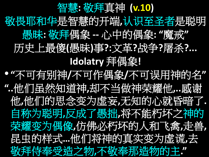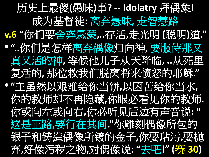历史上最傻**(**愚昧**)**事**? -- Idolatry** 拜偶象**!** 成为基督徒**:** 离弃愚昧**,** 走智慧路 **v.6 "**你们要舍弃愚蒙**,..**存活**,**走光明 **(**聪明**)**道**."** • **"..**你们是怎样离弃偶像归向神**,** 要服侍那又 真又活的神**,** 等候他儿子从天降临**, ..**从死里 复活的**,** 那位救我们脱离将来愤怒的耶稣**."** • **"**主虽然以艰难给你当饼**,**以困苦给你当水**,** 你的教师却不再隐藏**,**你眼必看见你的教师**.** 你或向左或向右**,**你必听见后边有声音说**: "** 这是正路**,**要行在其间**."**你雕刻偶像所包的 银子和铸造偶像所镀的金子**,**你要玷污**,**要抛 弃**,**好像污秽之物**,**对偶像说**: "**去吧**!" (**赛 **30)**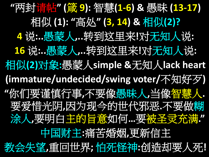**"**两封请帖**" (**箴 **9):** 智慧**(1-6) &** 愚昧 **(13-17)** 相似 **(1): "**高处**" (3, 14) &** 相似**(2)? 4** 说**:..**愚蒙人**,..**转到这里来**!**对无知人说**: 16** 说**:..**愚蒙人**,..**转到这里来**!**对无知人说**:** 相似**(2)**对象**:**愚蒙人**simple &**无知人**lack heart (immature/undecided/swing voter/**不知好歹**) "**你们要谨慎行事**,**不要像愚昧人**,**当像智慧人**.**  要爱惜光阴**,**因为现今的世代邪恶**.**不要做糊 涂人**,**要明白主的旨意如何**…**要被圣灵充满**."** 中国财主**:**痛苦婚姻**,**更新信主 教会失望**,**重回世界**;** 怕死怪神**:**创造却要人死**!**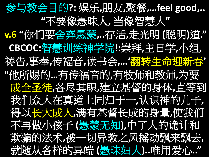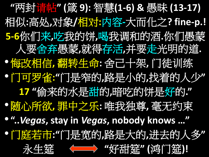**"**两封请帖**" (**箴 **9):** 智慧**(1-6) &** 愚昧 **(13-17)** 相似**:**高处**,**对象**/**相对**:**内容**-**大而化之**? fine-p.! 5-6**你们来**,**吃我的饼**,**喝我调和的酒**.**你们愚蒙 人要舍弃愚蒙**,**就得存活**,**并要走光明的道**.** •悔改相信**,** 翻转生命**:** 舍己十架**,** 门徒训练 •门可罗雀**:"**门是窄的**,**路是小的**,**找着的人少**" 17 "**偷来的水是甜的**,**暗吃的饼是好的**."** •随心所欲**,** 罪中之乐**:** 唯我独尊**,** 毫无约束 • **"..***Vegas***, stay in** *Vegas***, nobody knows …"** •门庭若市**:"**门是宽的**,**路是大的**,**进去的人多**"** 永生筵 **"**好甜筵**" (**鸿门筵**)!**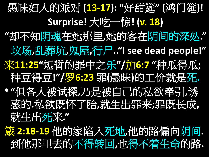愚昧妇人的派对 **(13-17): "**好甜筵**" (**鸿门筵**)! Surprise!** 大吃一惊**! (v. 18) "**却不知阴魂在她那里**,**她的客在阴间的深处**."** 坟场**,**乱葬坑**,**鬼屋**,**行尸**.."I see dead people!"** 来**11:25"**短暂的罪中之乐**"/**加**6:7 "**种瓜得瓜**;**  种豆得豆**!"/**罗**6:23** 罪**(**愚昧**)**的工价就是死**.** • **"**但各人被试探**,**乃是被自己的私欲牵引**,**诱 惑的**.**私欲既怀了胎**,**就生出罪来**;**罪既长成**,** 就生出死来**."**

箴 **2:18-19** 他的家陷入死地**,**他的路偏向阴间**.** 到他那里去的不得转回**,**也得不着生命的路**.**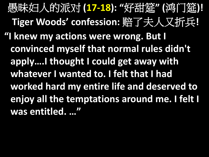愚昧妇人的派对 **(17-18): "**好甜筵**" (**鸿门筵**)! Tiger Woods' confession:** 赔了夫人又折兵**! "I knew my actions were wrong. But I convinced myself that normal rules didn't apply….I thought I could get away with whatever I wanted to. I felt that I had worked hard my entire life and deserved to enjoy all the temptations around me. I felt I was entitled. …"**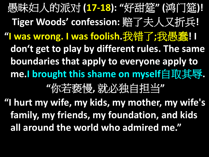愚昧妇人的派对 **(17-18): "**好甜筵**" (**鸿门筵**)! Tiger Woods' confession:** 赔了夫人又折兵**! "I was wrong. I was foolish.**我错了**;**我愚蠢**! I don't get to play by different rules. The same boundaries that apply to everyone apply to me.I brought this shame on myself**自取其辱**. "**你若亵慢**,** 就必独自担当**"** 

**"I hurt my wife, my kids, my mother, my wife's family, my friends, my foundation, and kids all around the world who admired me."**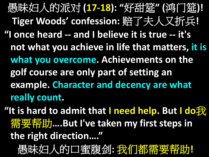愚昧妇人的派对 **(17-18): "**好甜筵**" (**鸿门筵**)! Tiger Woods' confession:** 赔了夫人又折兵**! "I once heard -- and I believe it is true -- it's not what you achieve in life that matters, it is what you overcome. Achievements on the golf course are only part of setting an example. Character and decency are what really count.** 

**"It is hard to admit that I need help. But I do**我 需要帮助**….But I've taken my first steps in the right direction…."**

愚昧妇人的口蜜腹剑**:** 我们都需要帮助**!**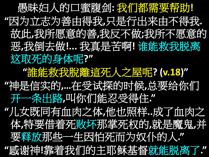愚昧妇人的口蜜腹剑**:** 我们都需要帮助**! "**因为立志为善由得我**,**只是行出来由不得我**.**  故此**,**我所愿意的善**,**我反不做**;**我所不愿意的 恶**,**我倒去做**!...** 我真是苦啊**!** 谁能救我脱离 这取死的身体呢**?" "**誰能救我脫離這死人之屋呢**? (v.18)" "**神是信实的**,…**在受试探的时候**,**总要给你们 开一条出路**,**叫你们能忍受得住**." "**儿女既同有血肉之体**,**他也照样**..**成了血肉之 体**,**特要借着死败坏那掌死权的**,**就是魔鬼**,**并 要释放那些一生因怕死而为奴仆的人**." "**感谢神**!**靠着我们的主耶稣基督就能脱离了**."**